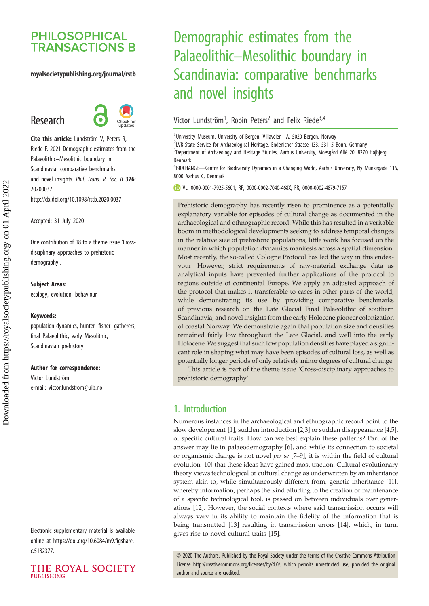# **PHILOSOPHICAL TRANSACTIONS B**

#### royalsocietypublishing.org/journal/rstb

# Research



Cite this article: Lundström V, Peters R, Riede F. 2021 Demographic estimates from the Palaeolithic–Mesolithic boundary in Scandinavia: comparative benchmarks and novel insights. Phil. Trans. R. Soc. B 376: 20200037. http://dx.doi.org/10.1098/rstb.2020.0037

Accepted: 31 July 2020

One contribution of 18 to a theme issue '[Cross](http://dx.doi.org/10.1098/rstb/376/1816)[disciplinary approaches to prehistoric](http://dx.doi.org/10.1098/rstb/376/1816) [demography](http://dx.doi.org/10.1098/rstb/376/1816)'.

#### Subject Areas:

ecology, evolution, behaviour

#### Keywords:

population dynamics, hunter–fisher–gatherers, final Palaeolithic, early Mesolithic, Scandinavian prehistory

#### Author for correspondence:

Victor Lundström e-mail: [victor.lundstrom@uib.no](mailto:victor.lundstrom@uib.no)

Electronic supplementary material is available online at [https://doi.org/10.6084/m9.figshare.](https://doi.org/10.6084/m9.figshare.c.5182377) [c.5182377.](https://doi.org/10.6084/m9.figshare.c.5182377)



# Demographic estimates from the Palaeolithic–Mesolithic boundary in Scandinavia: comparative benchmarks and novel insights

## Victor Lundström<sup>1</sup>, Robin Peters<sup>2</sup> and Felix Riede<sup>3,4</sup>

<sup>1</sup>University Museum, University of Bergen, Villaveien 1A, 5020 Bergen, Norway

<sup>2</sup>LVR-State Service for Archaeological Heritage, Endenicher Strasse 133, 53115 Bonn, Germany <sup>3</sup>Department of Archaeology and Heritage Studies, Aarhus University, Moesgård Allé 20, 8270 Højbjerg, Denmark

<sup>4</sup>BIOCHANGE—Centre for Biodiversity Dynamics in a Changing World, Aarhus University, Ny Munkegade 116, 8000 Aarhus C, Denmark

VL, [0000-0001-7925-5601](http://orcid.org/0000-0001-7925-5601); RP, [0000-0002-7040-468X;](http://orcid.org/0000-0002-7040-468X) FR, [0000-0002-4879-7157](http://orcid.org/0000-0002-4879-7157)

Prehistoric demography has recently risen to prominence as a potentially explanatory variable for episodes of cultural change as documented in the archaeological and ethnographic record. While this has resulted in a veritable boom in methodological developments seeking to address temporal changes in the relative size of prehistoric populations, little work has focused on the manner in which population dynamics manifests across a spatial dimension. Most recently, the so-called Cologne Protocol has led the way in this endeavour. However, strict requirements of raw-material exchange data as analytical inputs have prevented further applications of the protocol to regions outside of continental Europe. We apply an adjusted approach of the protocol that makes it transferable to cases in other parts of the world, while demonstrating its use by providing comparative benchmarks of previous research on the Late Glacial Final Palaeolithic of southern Scandinavia, and novel insights from the early Holocene pioneer colonization of coastal Norway. We demonstrate again that population size and densities remained fairly low throughout the Late Glacial, and well into the early Holocene. We suggest that such low population densities have played a significant role in shaping what may have been episodes of cultural loss, as well as potentially longer periods of only relatively minor degrees of cultural change.

This article is part of the theme issue 'Cross-disciplinary approaches to prehistoric demography'.

## 1. Introduction

Numerous instances in the archaeological and ethnographic record point to the slow development [[1](#page-6-0)], sudden introduction [\[2,3](#page-6-0)] or sudden disappearance [\[4,5\]](#page-6-0), of specific cultural traits. How can we best explain these patterns? Part of the answer may lie in palaeodemography [\[6](#page-6-0)], and while its connection to societal or organismic change is not novel per se [\[7](#page-6-0)–[9\]](#page-6-0), it is within the field of cultural evolution [[10\]](#page-6-0) that these ideas have gained most traction. Cultural evolutionary theory views technological or cultural change as underwritten by an inheritance system akin to, while simultaneously different from, genetic inheritance [\[11\]](#page-6-0), whereby information, perhaps the kind alluding to the creation or maintenance of a specific technological tool, is passed on between individuals over generations [[12\]](#page-6-0). However, the social contexts where said transmission occurs will always vary in its ability to maintain the fidelity of the information that is being transmitted [[13\]](#page-6-0) resulting in transmission errors [\[14](#page-6-0)], which, in turn, gives rise to novel cultural traits [[15\]](#page-6-0).

© 2020 The Authors. Published by the Royal Society under the terms of the Creative Commons Attribution License<http://creativecommons.org/licenses/by/4.0/>, which permits unrestricted use, provided the original author and source are credited.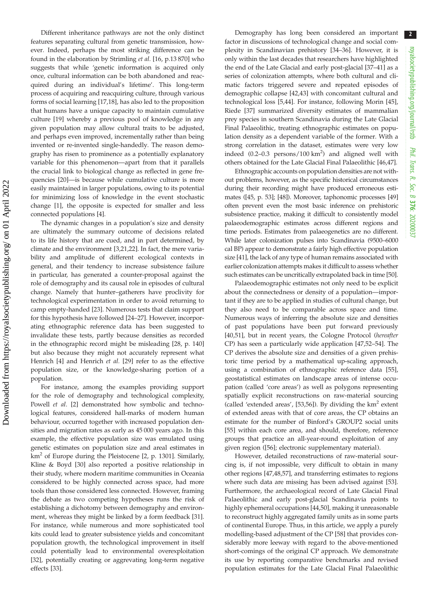Different inheritance pathways are not the only distinct features separating cultural from genetic transmission, however. Indeed, perhaps the most striking difference can be found in the elaboration by Strimling et al. [[16,](#page-6-0) p.13 870] who suggests that while 'genetic information is acquired only once, cultural information can be both abandoned and reacquired during an individual's lifetime'. This long-term process of acquiring and reacquiring culture, through various forms of social learning [[17](#page-6-0)[,18](#page-7-0)], has also led to the proposition that humans have a unique capacity to maintain cumulative culture [[19\]](#page-7-0) whereby a previous pool of knowledge in any given population may allow cultural traits to be adjusted, and perhaps even improved, incrementally rather than being invented or re-invented single-handedly. The reason demography has risen to prominence as a potentially explanatory variable for this phenomenon—apart from that it parallels the crucial link to biological change as reflected in gene frequencies [\[20](#page-7-0)]—is because while cumulative culture is more easily maintained in larger populations, owing to its potential for minimizing loss of knowledge in the event stochastic change [\[1\]](#page-6-0), the opposite is expected for smaller and less connected populations [\[4\]](#page-6-0).

The dynamic changes in a population's size and density are ultimately the summary outcome of decisions related to its life history that are cued, and in part determined, by climate and the environment [[3](#page-6-0),[21,22\]](#page-7-0). In fact, the mere variability and amplitude of different ecological contexts in general, and their tendency to increase subsistence failure in particular, has generated a counter-proposal against the role of demography and its causal role in episodes of cultural change. Namely that hunter–gatherers have proclivity for technological experimentation in order to avoid returning to camp empty-handed [\[23](#page-7-0)]. Numerous tests that claim support for this hypothesis have followed [\[24](#page-7-0)–[27\]](#page-7-0). However, incorporating ethnographic reference data has been suggested to invalidate these tests, partly because densities as recorded in the ethnographic record might be misleading [[28,](#page-7-0) p. 140] but also because they might not accurately represent what Henrich [\[4\]](#page-6-0) and Henrich et al. [\[29](#page-7-0)] refer to as the effective population size, or the knowledge-sharing portion of a population.

For instance, among the examples providing support for the role of demography and technological complexity, Powell et al. [\[2\]](#page-6-0) demonstrated how symbolic and technological features, considered hall-marks of modern human behaviour, occurred together with increased population densities and migration rates as early as 45 000 years ago. In this example, the effective population size was emulated using genetic estimates on population size and areal estimates in  $km<sup>2</sup>$  $km<sup>2</sup>$  $km<sup>2</sup>$  of Europe during the Pleistocene [2, p. 1301]. Similarly, Kline & Boyd [[30\]](#page-7-0) also reported a positive relationship in their study, where modern maritime communities in Oceania considered to be highly connected across space, had more tools than those considered less connected. However, framing the debate as two competing hypotheses runs the risk of establishing a dichotomy between demography and environment, whereas they might be linked by a form feedback [\[31](#page-7-0)]. For instance, while numerous and more sophisticated tool kits could lead to greater subsistence yields and concomitant population growth, the technological improvement in itself could potentially lead to environmental overexploitation [\[32](#page-7-0)], potentially creating or aggrevating long-term negative effects [\[33](#page-7-0)].

Demography has long been considered an important factor in discussions of technological change and social complexity in Scandinavian prehistory [\[34](#page-7-0)–[36\]](#page-7-0). However, it is only within the last decades that researchers have highlighted the end of the Late Glacial and early post-glacial [\[37](#page-7-0)–[41\]](#page-7-0) as a series of colonization attempts, where both cultural and climatic factors triggered severe and repeated episodes of demographic collapse [[42,43](#page-7-0)] with concomitant cultural and technological loss [\[5](#page-6-0)[,44](#page-7-0)]. For instance, following Morin [[45\]](#page-7-0), Riede [[37\]](#page-7-0) summarized diversity estimates of mammalian prey species in southern Scandinavia during the Late Glacial Final Palaeolithic, treating ethnographic estimates on population density as a dependent variable of the former. With a strong correlation in the dataset, estimates were very low indeed  $(0.2-0.3$  persons/100 km<sup>2</sup>) and aligned well with others obtained for the Late Glacial Final Palaeolithic [\[46](#page-7-0),[47\]](#page-7-0).

Ethnographic accounts on population densities are not without problems, however, as the specific historical circumstances during their recording might have produced erroneous estimates ([\[45,](#page-7-0) p. 53]; [[48\]](#page-7-0)). Moreover, taphonomic processes [\[49\]](#page-7-0) often prevent even the most basic inference on prehistoric subsistence practice, making it difficult to consistently model palaeodemographic estimates across different regions and time periods. Estimates from palaeogenetics are no different. While later colonization pulses into Scandinavia (9500–6000 cal BP) appear to demonstrate a fairly high effective population size [\[41\]](#page-7-0), the lack of any type of human remains associated with earlier colonization attempts makes it difficult to assess whether such estimates can be uncritically extrapolated back in time [\[50\]](#page-7-0).

Palaeodemographic estimates not only need to be explicit about the connectedness or density of a population—important if they are to be applied in studies of cultural change, but they also need to be comparable across space and time. Numerous ways of inferring the absolute size and densities of past populations have been put forward previously [[40,51\]](#page-7-0), but in recent years, the Cologne Protocol (hereafter CP) has seen a particularly wide application [[47,52](#page-7-0)–[54\]](#page-7-0). The CP derives the absolute size and densities of a given prehistoric time period by a mathematical up-scaling approach, using a combination of ethnographic reference data [[55\]](#page-7-0), geostatistical estimates on landscape areas of intense occupation (called 'core areas') as well as polygons representing spatially explicit reconstructions on raw-material sourcing (called 'extended areas', [\[53,56](#page-7-0)]). By dividing the  $km<sup>2</sup>$  extent of extended areas with that of core areas, the CP obtains an estimate for the number of Binford's GROUP2 social units [[55\]](#page-7-0) within each core area, and should, therefore, reference groups that practice an all-year-round exploitation of any given region ([\[56](#page-7-0)]; electronic supplementary material).

However, detailed reconstructions of raw-material sourcing is, if not impossible, very difficult to obtain in many other regions [\[47,48](#page-7-0),[57\]](#page-7-0), and transferring estimates to regions where such data are missing has been advised against [[53\]](#page-7-0). Furthermore, the archaeological record of Late Glacial Final Palaeolithic and early post-glacial Scandinavia points to highly ephemeral occupations [[44,50](#page-7-0)], making it unreasonable to reconstruct highly aggregated family units as in some parts of continental Europe. Thus, in this article, we apply a purely modelling-based adjustment of the CP [[58\]](#page-7-0) that provides considerably more leeway with regard to the above-mentioned short-comings of the original CP approach. We demonstrate its use by reporting comparative benchmarks and revised population estimates for the Late Glacial Final Palaeolithic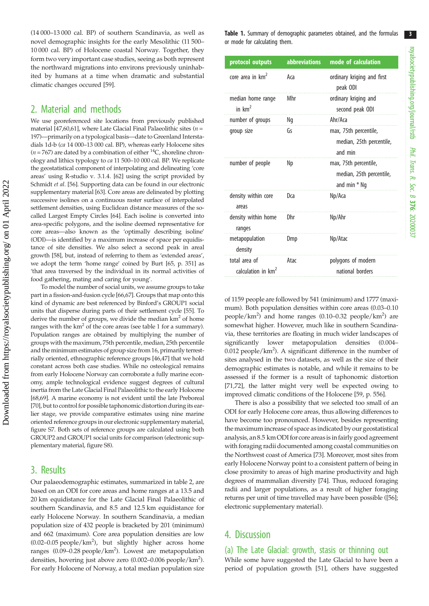(14 000–13 000 cal. BP) of southern Scandinavia, as well as novel demographic insights for the early Mesolithic (11 500– 10 000 cal. BP) of Holocene coastal Norway. Together, they form two very important case studies, seeing as both represent the northward migrations into environs previously uninhabited by humans at a time when dramatic and substantial climatic changes occured [\[59](#page-7-0)].

# 2. Material and methods

We use georeferenced site locations from previously published material [[47,60](#page-7-0)[,61\]](#page-8-0), where Late Glacial Final Palaeolithic sites ( $n =$ 197)—primarily on a typological basis—date to Greenland Interstadials 1d-b (ca 14 000–13 000 cal. BP), whereas early Holocene sites ( $n = 767$ ) are dated by a combination of either  ${}^{14}C$ , shoreline chronology and lithics typology to ca 11 500–10 000 cal. BP. We replicate the geostatistical component of interpolating and delineating 'core areas' using R-studio v. 3.1.4. [\[62\]](#page-8-0) using the script provided by Schmidt et al. [\[56\]](#page-7-0). Supporting data can be found in our electronic supplementary material [[63\]](#page-8-0). Core areas are delineated by plotting successive isolines on a continuous raster surface of interpolated settlement densities, using Euclidean distance measures of the socalled Largest Empty Circles [\[64\]](#page-8-0). Each isoline is converted into area-specific polygons, and the isoline deemed representative for core areas—also known as the 'optimally describing isoline' (ODI)—is identified by a maximum increase of space per equidistance of site densities. We also select a second peak in areal growth [\[58\]](#page-7-0), but, instead of referring to them as 'extended areas', we adopt the term 'home range' coined by Burt [[65,](#page-8-0) p. 351] as 'that area traversed by the individual in its normal activities of food gathering, mating and caring for young'.

To model the number of social units, we assume groups to take part in a fission-and-fusion cycle [[66,67](#page-8-0)]. Groups that map onto this kind of dynamic are best referenced by Binford's GROUP1 social units that disperse during parts of their settlement cycle [[55](#page-7-0)]. To derive the number of groups, we divide the median  $km<sup>2</sup>$  of home ranges with the  $km^2$  of the core areas (see table 1 for a summary). Population ranges are obtained by multiplying the number of groups with the maximum, 75th percentile, median, 25th percentile and the minimum estimates of group size from 16, primarily terrestrially oriented, ethnographic reference groups [[46,47\]](#page-7-0) that we hold constant across both case studies. While no osteological remains from early Holocene Norway can corroborate a fully marine economy, ample technological evidence suggest degrees of cultural inertia from the Late Glacial Final Palaeolithic to the early Holocene [\[68,69](#page-8-0)]. A marine economy is not evident until the late Preboreal [\[70\]](#page-8-0), but to control for possible taphonomic distortion during its earlier stage, we provide comparative estimates using nine marine oriented reference groups in our electronic supplementary material, figure S7. Both sets of reference groups are calculated using both GROUP2 and GROUP1 social units for comparison (electronic supplementary material, figure S8).

# 3. Results

Our palaeodemographic estimates, summarized in [table 2](#page-3-0), are based on an ODI for core areas and home ranges at a 13.5 and 20 km equidistance for the Late Glacial Final Palaeolithic of southern Scandinavia, and 8.5 and 12.5 km equidistance for early Holocene Norway. In southern Scandinavia, a median population size of 432 people is bracketed by 201 (minimum) and 662 (maximum). Core area population densities are low  $(0.02-0.05 \text{ people/km}^2)$ , but slightly higher across home ranges (0.09–0.28 people/km<sup>2</sup>). Lowest are metapopulation densities, hovering just above zero (0.002–0.006 people/km<sup>2</sup>). For early Holocene of Norway, a total median population size Table 1. Summary of demographic parameters obtained, and the formulas or mode for calculating them.

| protocol outputs                                | <b>abbreviations</b> | mode of calculation                                                 |  |  |  |
|-------------------------------------------------|----------------------|---------------------------------------------------------------------|--|--|--|
| core area in km <sup>2</sup>                    | Aca                  | ordinary kriging and first<br>peak ODI                              |  |  |  |
| median home range<br>in $km2$                   | Mhr                  | ordinary kriging and<br>second peak ODI                             |  |  |  |
| number of groups                                | Ng                   | Ahr/Aca                                                             |  |  |  |
| group size                                      | Gs                   | max, 75th percentile,<br>median, 25th percentile,<br>and min        |  |  |  |
| number of people                                | Np                   | max, 75th percentile,<br>median, 25th percentile,<br>and min $*$ Ng |  |  |  |
| density within core<br>areas                    | Dca                  | Np/Aca                                                              |  |  |  |
| density within home<br>ranges                   | Dhr                  | Np/Ahr                                                              |  |  |  |
| metapopulation<br>density                       | Dmp                  | Np/Atac                                                             |  |  |  |
| total area of<br>calculation in km <sup>2</sup> | Atac                 | polygons of modern<br>national borders                              |  |  |  |

of 1159 people are followed by 541 (minimum) and 1777 (maximum). Both population densities within core areas (0.03–0.10 people/km<sup>2</sup>) and home ranges (0.10-0.32 people/km<sup>2</sup>) are somewhat higher. However, much like in southern Scandinavia, these territories are floating in much wider landscapes of significantly lower metapopulation densities (0.004– 0.012 people/km<sup>2</sup>). A significant difference in the number of sites analysed in the two datasets, as well as the size of their demographic estimates is notable, and while it remains to be assessed if the former is a result of taphonomic distortion [[71,72\]](#page-8-0), the latter might very well be expected owing to improved climatic conditions of the Holocene [\[59](#page-7-0), p. 556].

There is also a possibility that we selected too small of an ODI for early Holocene core areas, thus allowing differences to have become too pronounced. However, besides representing the maximum increase of space as indicated by our geostatistical analysis, an 8.5 km ODI for core areasisin fairly good agreement with foraging radii documented among coastal communities on the Northwest coast of America [[73\]](#page-8-0). Moreover, most sites from early Holocene Norway point to a consistent pattern of being in close proximity to areas of high marine productivity and high degrees of mammalian diversity [\[74](#page-8-0)]. Thus, reduced foraging radii and larger populations, as a result of higher foraging returns per unit of time travelled may have been possible ([\[56\]](#page-7-0); electronic supplementary material).

# 4. Discussion

#### (a) The Late Glacial: growth, stasis or thinning out While some have suggested the Late Glacial to have been a period of population growth [[51\]](#page-7-0), others have suggested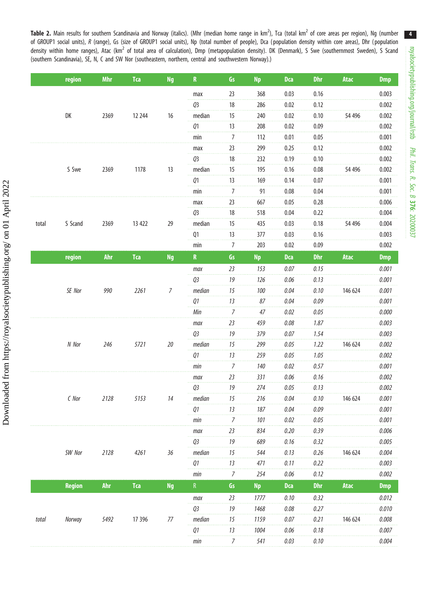<span id="page-3-0"></span>Table 2. Main results for southern Scandinavia and Norway (italics). (Mhr (median home range in km<sup>2</sup>), Tca (total km<sup>2</sup> of core areas per region), Ng (number of GROUP1 social units), R (range), Gs (size of GROUP1 social units), Np (total number of people), Dca (population density within core areas), Dhr (population density within home ranges), Atac (km<sup>2</sup> of total area of calculation), Dmp (metapopulation density). DK (Denmark), S Swe (southernmost Sweden), S Scand (southern Scandinavia), SE, N, C and SW Nor (southeastern, northern, central and southwestern Norway).)

|       | region        | <b>Mhr</b> | <b>Tca</b> | <b>Ng</b>      | ${\bf R}$      | Gs             | <b>Np</b> | <b>Dca</b> | <b>Dhr</b> | Atac    | <b>Dmp</b> |
|-------|---------------|------------|------------|----------------|----------------|----------------|-----------|------------|------------|---------|------------|
|       |               |            |            |                | max            | 23             | 368       | 0.03       | 0.16       |         | 0.003      |
|       |               |            |            |                | Q3             | 18             | 286       | 0.02       | 0.12       |         | 0.002      |
|       | DK            | 2369       | 12 244     | 16             | median         | 15             | 240       | 0.02       | 0.10       | 54 49 6 | 0.002      |
|       |               |            |            |                | Q1             | 13             | 208       | 0.02       | 0.09       |         | 0.002      |
|       |               |            |            |                | min            | 7              | 112       | 0.01       | 0.05       |         | 0.001      |
|       |               |            |            |                | max            | 23             | 299       | 0.25       | 0.12       |         | 0.002      |
|       |               |            |            |                | Q <sub>3</sub> | 18             | 232       | 0.19       | 0.10       |         | 0.002      |
|       | S Swe         | 2369       | 1178       | 13             | median         | 15             | 195       | 0.16       | 0.08       | 54 496  | 0.002      |
|       |               |            |            |                | 01             | 13             | 169       | 0.14       | 0.07       |         | 0.001      |
|       |               |            |            |                | min            | $\overline{7}$ | 91        | 0.08       | 0.04       |         | 0.001      |
|       |               |            |            |                | max            | 23             | 667       | 0.05       | 0.28       |         | 0.006      |
|       |               |            |            |                | Q3             | 18             | 518       | 0.04       | 0.22       |         | 0.004      |
| total | S Scand       | 2369       | 13 422     | 29             | median         | 15             | 435       | 0.03       | 0.18       | 54 496  | 0.004      |
|       |               |            |            |                | Q1             | 13             | 377       | 0.03       | 0.16       |         | 0.003      |
|       |               |            |            |                | min            | $\overline{7}$ | 203       | 0.02       | 0.09       |         | 0.002      |
|       | region        | <b>Ahr</b> | <b>Tca</b> | <b>Ng</b>      | ${\bf R}$      | Gs             | <b>Np</b> | <b>Dca</b> | <b>Dhr</b> | Atac    | <b>Dmp</b> |
|       |               |            |            |                | max            | 23             | 153       | 0.07       | 0.15       |         | 0.001      |
|       |               |            |            |                | Q3             | 19             | 126       | 0.06       | 0.13       |         | 0.001      |
|       | SE Nor        | 990        | 2261       | $\overline{7}$ | median         | 15             | 100       | 0.04       | 0.10       | 146 624 | 0.001      |
|       |               |            |            |                | 01             | 13             | 87        | 0.04       | 0.09       |         | 0.001      |
|       |               |            |            |                | Min            | 7              | 47        | 0.02       | 0.05       |         | 0.000      |
|       |               |            |            |                | max            | 23             | 459       | 0.08       | 1.87       |         | 0.003      |
|       |               |            |            |                | Q3             | 19             | 379       | 0.07       | 1.54       |         | 0.003      |
|       | N Nor         | 246        | 5721       | 20             | median         | 15             | 299       | 0.05       | 1.22       | 146 624 | 0.002      |
|       |               |            |            |                | Q1             | 13             | 259       | 0.05       | 1.05       |         | 0.002      |
|       |               |            |            |                | min            | $\overline{7}$ | 140       | 0.02       | 0.57       |         | 0.001      |
|       |               |            |            |                | max            | 23             | 331       | $0.06$     | 0.16       |         | 0.002      |
|       |               |            |            |                | Q3             | 19             | 274       | 0.05       | 0.13       |         | 0.002      |
|       | $C$ Nor       | 2128       | 5153       | 14             | median         | 15             | 216       | 0.04       | 0.10       | 146 624 | 0.001      |
|       |               |            |            |                | 01             | 13             | 187       | 0.04       | 0.09       |         | 0.001      |
|       |               |            |            |                | min            | $\overline{7}$ | 101       | 0.02       | 0.05       |         | 0.001      |
|       |               |            |            |                | max            | 23             | 834       | 0.20       | 0.39       |         | 0.006      |
|       |               |            |            |                | Q3             | 19             | 689       | 0.16       | 0.32       |         | 0.005      |
|       | SW Nor        | 2128       | 4261       | $36\,$         | median         | 15             | 544       | 0.13       | 0.26       | 146 624 | 0.004      |
|       |               |            |            |                | Q1             | 13             | 471       | 0.11       | 0.22       |         | 0.003      |
|       |               |            |            |                | min            | $\overline{7}$ | 254       | $0.06$     | 0.12       |         | 0.002      |
|       | <b>Region</b> | <b>Ahr</b> | <b>Tca</b> | <b>Ng</b>      | ${\sf R}$      | Gs             | <b>Np</b> | <b>Dca</b> | <b>Dhr</b> | Atac    | <b>Dmp</b> |
|       |               |            |            |                | max            | 23             | 1777      | 0.10       | 0.32       |         | 0.012      |
|       |               |            |            |                | Q3             | 19             | 1468      | 0.08       | 0.27       |         | 0.010      |
| total | Norway        | 5492       | 17 39 6    | 77             | median         | 15             | 1159      | 0.07       | 0.21       | 146 624 | 0.008      |
|       |               |            |            |                | Q1             | 13             | 1004      | 0.06       | 0.18       |         | 0.007      |
|       |               |            |            |                | min            | $\overline{7}$ | 541       | 0.03       | 0.10       |         | 0.004      |

4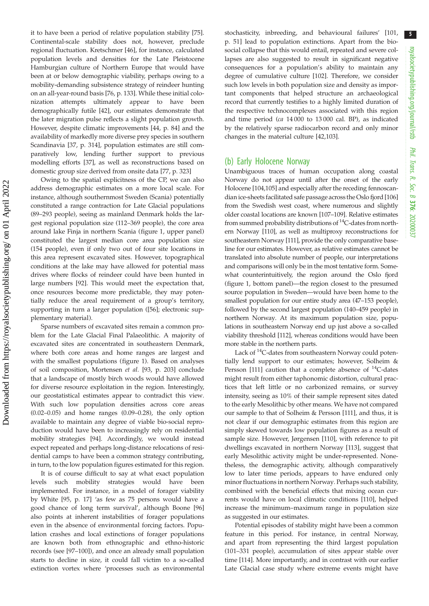it to have been a period of relative population stability [\[75](#page-8-0)]. Continental-scale stability does not, however, preclude regional fluctuation. Kretschmer [[46\]](#page-7-0), for instance, calculated population levels and densities for the Late Pleistocene Hamburgian culture of Northern Europe that would have been at or below demographic viability, perhaps owing to a mobility-demanding subsistence strategy of reindeer hunting on an all-year-round basis [[76,](#page-8-0) p. 133]. While these initial colonization attempts ultimately appear to have been demographically futile [\[42](#page-7-0)], our estimates demonstrate that the later migration pulse reflects a slight population growth. However, despite climatic improvements [\[44](#page-7-0), p. 84] and the availability of markedly more diverse prey species in southern Scandinavia [[37,](#page-7-0) p. 314], population estimates are still comparatively low, lending further support to previous modelling efforts [[37\]](#page-7-0), as well as reconstructions based on domestic group size derived from onsite data [[77,](#page-8-0) p. 323]

Owing to the spatial explicitness of the CP, we can also address demographic estimates on a more local scale. For instance, although southernmost Sweden (Scania) potentially constituted a range contraction for Late Glacial populations (89–293 people), seeing as mainland Denmark holds the largest regional population size (112–369 people), the core area around lake Finja in northern Scania ([figure 1](#page-5-0), upper panel) constituted the largest median core area population size (154 people), even if only two out of four site locations in this area represent excavated sites. However, topographical conditions at the lake may have allowed for potential mass drives where flocks of reindeer could have been hunted in large numbers [\[92](#page-8-0)]. This would meet the expectation that, once resources become more predictable, they may potentially reduce the areal requirement of a group's territory, supporting in turn a larger population ([[56\]](#page-7-0); electronic supplementary material).

Sparse numbers of excavated sites remain a common problem for the Late Glacial Final Palaeolithic. A majority of excavated sites are concentrated in southeastern Denmark, where both core areas and home ranges are largest and with the smallest populations ([figure 1](#page-5-0)). Based on analyses of soil composition, Mortensen et al. [\[93](#page-8-0), p. 203] conclude that a landscape of mostly birch woods would have allowed for diverse resource exploitation in the region. Interestingly, our geostatistical estimates appear to contradict this view. With such low population densities across core areas (0.02–0.05) and home ranges (0.09–0.28), the only option available to maintain any degree of viable bio-social reproduction would have been to increasingly rely on residential mobility strategies [\[94](#page-8-0)]. Accordingly, we would instead expect repeated and perhaps long-distance relocations of residential camps to have been a common strategy contributing, in turn, to the low population figures estimated for this region.

It is of course difficult to say at what exact population levels such mobility strategies would have been implemented. For instance, in a model of forager viability by White [[95,](#page-8-0) p. 17] 'as few as 75 persons would have a good chance of long term survival', although Boone [[96\]](#page-8-0) also points at inherent instabilities of forager populations even in the absence of environmental forcing factors. Population crashes and local extinctions of forager populations are known both from ethnographic and ethno-historic records (see [\[97](#page-8-0)–[100](#page-8-0)]), and once an already small population starts to decline in size, it could fall victim to a so-called extinction vortex where 'processes such as environmental stochasticity, inbreeding, and behavioural failures' [\[101](#page-8-0), p. 51] lead to population extinctions. Apart from the biosocial collapse that this would entail, repeated and severe collapses are also suggested to result in significant negative consequences for a population's ability to maintain any degree of cumulative culture [[102](#page-8-0)]. Therefore, we consider such low levels in both population size and density as important components that helped structure an archaeological record that currently testifies to a highly limited duration of the respective technocomplexes associated with this region and time period (ca 14 000 to 13 000 cal. BP), as indicated by the relatively sparse radiocarbon record and only minor changes in the material culture [\[42](#page-7-0)[,103\]](#page-8-0).

#### (b) Early Holocene Norway

Unambiguous traces of human occupation along coastal Norway do not appear until after the onset of the early Holocene [\[104,105\]](#page-9-0) and especially after the receding fennoscandian ice-sheets facilitated safe passage across the Oslo fjord [[106\]](#page-9-0) from the Swedish west coast, where numerous and slightly older coastal locations are known [[107](#page-9-0)–[109\]](#page-9-0). Relative estimates from summed probability distributions of  ${}^{14}C$ -dates from northern Norway [[110](#page-9-0)], as well as multiproxy reconstructions for southeastern Norway [\[111](#page-9-0)], provide the only comparative baseline for our estimates. However, as relative estimates cannot be translated into absolute number of people, our interpretations and comparisons will only be in the most tentative form. Somewhat counterintuitively, the region around the Oslo fjord ([figure 1,](#page-5-0) bottom panel)—the region closest to the presumed source population in Sweden—would have been home to the smallest population for our entire study area (47–153 people), followed by the second largest population (140–459 people) in northern Norway. At its maximum population size, populations in southeastern Norway end up just above a so-called viability threshold [\[112\]](#page-9-0), whereas conditions would have been more stable in the northern parts.

Lack of <sup>14</sup>C-dates from southeastern Norway could potentially lend support to our estimates; however, Solheim & Persson [\[111\]](#page-9-0) caution that a complete absence of  $^{14}$ C-dates might result from either taphonomic distortion, cultural practices that left little or no carbonized remains, or survey intensity, seeing as 10% of their sample represent sites dated to the early Mesolithic by other means. We have not compared our sample to that of Solheim & Persson [\[111\]](#page-9-0), and thus, it is not clear if our demographic estimates from this region are simply skewed towards low population figures as a result of sample size. However, Jørgensen [[110\]](#page-9-0), with reference to pit dwellings excavated in northern Norway [[113\]](#page-9-0), suggest that early Mesolithic activity might be under-represented. Nonetheless, the demographic activity, although comparatively low to later time periods, appears to have endured only minor fluctuations in northern Norway. Perhaps such stability, combined with the beneficial effects that mixing ocean currents would have on local climatic conditions [\[110](#page-9-0)], helped increase the minimum–maximum range in population size as suggested in our estimates.

Potential episodes of stability might have been a common feature in this period. For instance, in central Norway, and apart from representing the third largest population (101–331 people), accumulation of sites appear stable over time [[114\]](#page-9-0). More importantly, and in contrast with our earlier Late Glacial case study where extreme events might have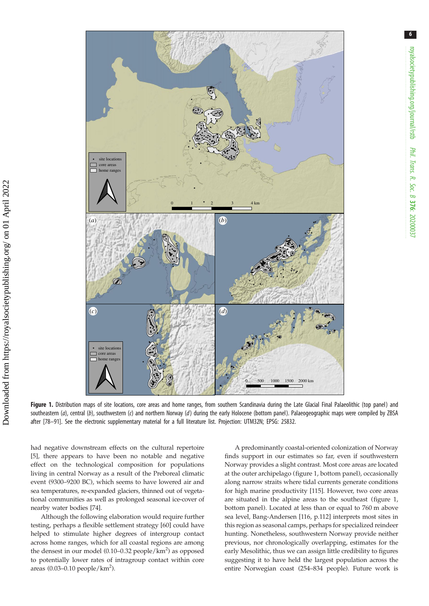<span id="page-5-0"></span>

Figure 1. Distribution maps of site locations, core areas and home ranges, from southern Scandinavia during the Late Glacial Final Palaeolithic (top panel) and southeastern (a), central (b), southwestern (c) and northern Norway (d) during the early Holocene (bottom panel). Palaeogeographic maps were compiled by ZBSA after [\[78](#page-8-0)–[91](#page-8-0)]. See the electronic supplementary material for a full literature list. Projection: UTM32N; EPSG: 25832.

had negative downstream effects on the cultural repertoire [\[5\]](#page-6-0), there appears to have been no notable and negative effect on the technological composition for populations living in central Norway as a result of the Preboreal climatic event (9300–9200 BC), which seems to have lowered air and sea temperatures, re-expanded glaciers, thinned out of vegetational communities as well as prolonged seasonal ice-cover of nearby water bodies [[74\]](#page-8-0).

Although the following elaboration would require further testing, perhaps a flexible settlement strategy [[60\]](#page-7-0) could have helped to stimulate higher degrees of intergroup contact across home ranges, which for all coastal regions are among the densest in our model  $(0.10-0.32 \text{ people/km}^2)$  as opposed to potentially lower rates of intragroup contact within core areas  $(0.03-0.10$  people/ $km^2$ ).

A predominantly coastal-oriented colonization of Norway finds support in our estimates so far, even if southwestern Norway provides a slight contrast. Most core areas are located at the outer archipelago (figure 1, bottom panel), occasionally along narrow straits where tidal currents generate conditions for high marine productivity [[115\]](#page-9-0). However, two core areas are situated in the alpine areas to the southeast (figure 1, bottom panel). Located at less than or equal to 760 m above sea level, Bang-Andersen [[116,](#page-9-0) p.112] interprets most sites in this region as seasonal camps, perhaps for specialized reindeer hunting. Nonetheless, southwestern Norway provide neither previous, nor chronologically overlapping, estimates for the early Mesolithic, thus we can assign little credibility to figures suggesting it to have held the largest population across the entire Norwegian coast (254–834 people). Future work is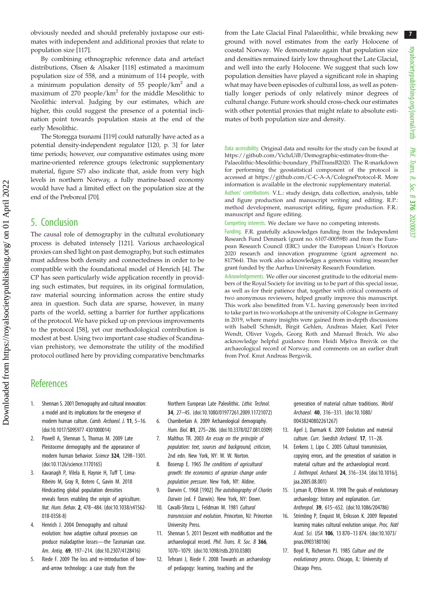7

<span id="page-6-0"></span>obviously needed and should preferably juxtapose our estimates with independent and additional proxies that relate to population size [[117\]](#page-9-0).

By combining ethnographic reference data and artefact distributions, Olsen & Alsaker [[118\]](#page-9-0) estimated a maximum population size of 558, and a minimum of 114 people, with a minimum population density of 55 people/km<sup>2</sup> and a maximum of  $270$  people/km<sup>2</sup> for the middle Mesolithic to Neolithic interval. Judging by our estimates, which are higher, this could suggest the presence of a potential inclination point towards population stasis at the end of the early Mesolithic.

The Storegga tsunami [\[119](#page-9-0)] could naturally have acted as a potential density-independent regulator [[120,](#page-9-0) p. 3] for later time periods; however, our comparative estimates using more marine-oriented reference groups (electronic supplementary material, figure S7) also indicate that, aside from very high levels in northern Norway, a fully marine-based economy would have had a limited effect on the population size at the end of the Preboreal [\[70](#page-8-0)].

#### 5. Conclusion

The causal role of demography in the cultural evolutionary process is debated intensely [[121](#page-9-0)]. Various archaeological proxies can shed light on past demography, but such estimates must address both density and connectedness in order to be compatible with the foundational model of Henrich [4]. The CP has seen particularly wide application recently in providing such estimates, but requires, in its original formulation, raw material sourcing information across the entire study area in question. Such data are sparse, however, in many parts of the world, setting a barrier for further applications of the protocol. We have picked up on previous improvements to the protocol [\[58](#page-7-0)], yet our methodological contribution is modest at best. Using two important case studies of Scandinavian prehistory, we demonstrate the utility of the modified protocol outlined here by providing comparative benchmarks from the Late Glacial Final Palaeolithic, while breaking new ground with novel estimates from the early Holocene of coastal Norway. We demonstrate again that population size and densities remained fairly low throughout the Late Glacial, and well into the early Holocene. We suggest that such low population densities have played a significant role in shaping what may have been episodes of cultural loss, as well as potentially longer periods of only relatively minor degrees of cultural change. Future work should cross-check our estimates with other potential proxies that might relate to absolute estimates of both population size and density.

Data accessibility. Original data and results for the study can be found at [https://github.com/VicluUiB/Demographic-estimates-from-the-](https://github.com/VicluUiB/Demographic-estimates-from-the-Palaeolithic-Mesolithic-boundary_PhilTransB2020)[Palaeolithic-Mesolithic-boundary\\_PhilTransB2020.](https://github.com/VicluUiB/Demographic-estimates-from-the-Palaeolithic-Mesolithic-boundary_PhilTransB2020) The R-markdown for performing the geostatistical component of the protocol is accessed at<https://github.com/C-C-A-A/CologneProtocol-R>. More information is available in the electronic supplementary material.

Authors' contributions. V.L.: study design, data collection, analysis, table and figure production and manuscript writing and editing. R.P.: method development, manuscript editing, figure production. F.R.: manuscript and figure editing.

Competing interests. We declare we have no competing interests.

Funding. F.R. gratefully acknowledges funding from the Independent Research Fund Denmark (grant no. 6107-00059B) and from the European Research Council (ERC) under the European Union's Horizon 2020 research and innovation programme (grant agreement no. 817564). This work also acknowledges a generous visiting researcher grant funded by the Aarhus University Research Foundation.

Acknowledgements. We offer our sincerest gratitude to the editorial members of the Royal Society for inviting us to be part of this special issue, as well as for their patience that, together with critical comments of two anonymous reviewers, helped greatly improve this manuscript. This work also benefitted from V.L. having generously been invited to take part in two workshops at the university of Cologne in Germany in 2019, where many insights were gained from in-depth discussions with Isabell Schmidt, Birgit Gehlen, Andreas Maier, Karl Peter Wendt, Oliver Vogels, Georg Roth and Manuel Broich. We also acknowledge helpful guidance from Heidi Mjelva Breivik on the archaeological record of Norway, and comments on an earlier draft from Prof. Knut Andreas Bergsvik.

## **References**

- 1. Shennan S. 2001 Demography and cultural innovation: a model and its implications for the emergence of modern human culture. Camb. Archaeol. J. 11, 5–16. [\(doi:10.1017/S095977 4301000014\)](http://dx.doi.org/10.1017/S0959774301000014)
- 2. Powell A, Shennan S, Thomas M. 2009 Late Pleistocene demography and the appearance of modern human behavior. Science 324, 1298–1301. [\(doi:10.1126/science.1170165\)](http://dx.doi.org/10.1126/science.1170165)
- 3. Kavanagh P, Vilela B, Haynie H, Tuff T, Lima-Ribeiro M, Gray R, Botero C, Gavin M. 2018 Hindcasting global population densities reveals forces enabling the origin of agriculture. Nat. Hum. Behav. 2, 478–484. ([doi:10.1038/s41562-](http://dx.doi.org/10.1038/s41562-018-0358-8) [018-0358-8\)](http://dx.doi.org/10.1038/s41562-018-0358-8)
- 4. Henrich J. 2004 Demography and cultural evolution: how adaptive cultural processes can produce maladaptive losses—the Tasmanian case. Am. Antiq. 69, 197–214. ([doi:10.2307/4128416\)](http://dx.doi.org/10.2307/4128416)
- 5. Riede F. 2009 The loss and re-introduction of bowand-arrow technology: a case study from the

Northern European Late Paleolithic. Lithic Technol. 34, 27–45. [\(doi:10.1080/01977261.2009.11721072](http://dx.doi.org/10.1080/01977261.2009.11721072))

- 6. Chamberlain A. 2009 Archaeological demography. Hum. Biol. 81, 275–286. [\(doi:10.3378/027.081.0309\)](http://dx.doi.org/10.3378/027.081.0309)
- 7. Malthus TR. 2003 An essay on the principle of population: text, sources and backaround, criticism, 2nd edn. New York, NY: W. W. Norton.
- 8. Boserup E. 1965 The conditions of agricultural growth: the economics of agrarian change under population pressure. New York, NY: Aldine.
- 9. Darwin C. 1968 [1902] The autobiography of Charles Darwin (ed. F Darwin). New York, NY: Dover.
- 10. Cavalli-Sforza L, Feldman M. 1981 Cultural transmission and evolution. Princeton, NJ: Princeton University Press.
- 11. Shennan S. 2011 Descent with modification and the archaeological record. Phil. Trans. R. Soc. B 366, 1070–1079. [\(doi:10.1098/rstb.2010.0380\)](http://dx.doi.org/10.1098/rstb.2010.0380)
- 12. Tehrani J, Riede F. 2008 Towards an archaeology of pedagogy: learning, teaching and the

generation of material culture traditions. World Archaeol. 40, 316–331. ([doi:10.1080/](http://dx.doi.org/10.1080/00438240802261267) [00438240802261267](http://dx.doi.org/10.1080/00438240802261267))

- 13. Apel J, Darmark K. 2009 Evolution and material culture. Curr. Swedish Archaeol. 17, 11-28.
- 14. Eerkens J, Lipo C. 2005 Cultural transmission, copying errors, and the generation of variation in material culture and the archaeological record. J. Anthropol. Archaeol. 24, 316–334. ([doi:10.1016/j.](http://dx.doi.org/10.1016/j.jaa.2005.08.001) [jaa.2005.08.001](http://dx.doi.org/10.1016/j.jaa.2005.08.001))
- 15. Lyman R, O'Brien M. 1998 The goals of evolutionary archaeology: history and explanation. Curr. Anthropol. 39, 615–652. ([doi:10.1086/204786](http://dx.doi.org/10.1086/204786))
- 16. Strimling P, Enquist M, Eriksson K. 2009 Repeated learning makes cultural evolution unique. Proc. Natl Acad. Sci. USA 106, 13 870–13 874. ([doi:10.1073/](http://dx.doi.org/10.1073/pnas.0903180106) [pnas.0903180106\)](http://dx.doi.org/10.1073/pnas.0903180106)
- 17. Boyd R, Richerson PJ. 1985 Culture and the evolutionary process. Chicago, IL: University of Chicago Press.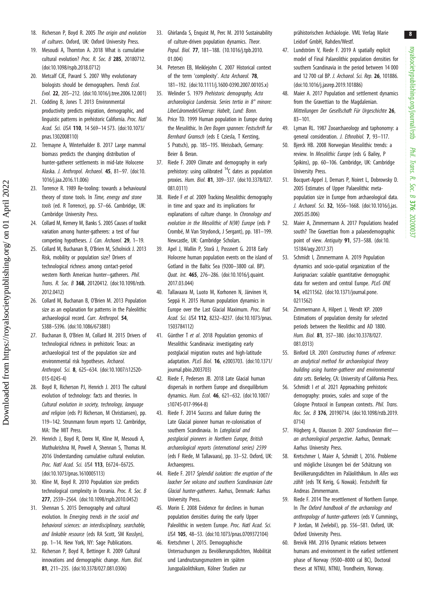- <span id="page-7-0"></span>18. Richerson P, Boyd R. 2005 The origin and evolution of cultures. Oxford, UK: Oxford University Press.
- 19. Mesoudi A, Thornton A. 2018 What is cumulative cultural evolution? Proc. R. Soc. B 285, 20180712. [\(doi:10.1098/rspb.2018.0712](http://dx.doi.org/10.1098/rspb.2018.0712))
- 20. Metcalf CJE, Pavard S. 2007 Why evolutionary biologists should be demographers. Trends Ecol. Evol. 22, 205–212. ([doi:10.1016/j.tree.2006.12.001\)](http://dx.doi.org/10.1016/j.tree.2006.12.001)
- 21. Codding B, Jones T. 2013 Environmental productivity predicts migration, demographic, and linguistic patterns in prehistoric California. Proc. Natl Acad. Sci. USA 110, 14 569–14 573. ([doi:10.1073/](http://dx.doi.org/10.1073/pnas.1302008110) [pnas.1302008110](http://dx.doi.org/10.1073/pnas.1302008110))
- 22. Tremayne A, Winterhalder B. 2017 Large mammal biomass predicts the changing distribution of hunter-gatherer settlements in mid-late Holocene Alaska. J. Anthropol. Archaeol. 45, 81–97. [\(doi:10.](http://dx.doi.org/10.1016/j.jaa.2016.11.006) [1016/j.jaa.2016.11.006\)](http://dx.doi.org/10.1016/j.jaa.2016.11.006)
- 23. Torrence R. 1989 Re-tooling: towards a behavioural theory of stone tools. In Time, energy and stone tools (ed. R Torrence), pp. 57–66. Cambridge, UK: Cambridge University Press.
- 24. Collard M, Kemery M, Banks S. 2005 Causes of toolkit variation among hunter-gatherers: a test of four competing hypotheses. J. Can. Archaeol. 29, 1–19.
- 25. Collard M, Buchanan B, O'Brien M, Scholnick J. 2013 Risk, mobility or population size? Drivers of technological richness among contact-period western North American hunter–gatherers. Phil. Trans. R. Soc. B 368, 20120412. [\(doi:10.1098/rstb.](http://dx.doi.org/10.1098/rstb.2012.0412) [2012.0412\)](http://dx.doi.org/10.1098/rstb.2012.0412)
- 26. Collard M, Buchanan B, O'Brien M. 2013 Population size as an explanation for patterns in the Paleolithic archaeological record. Curr. Anthropol. 54, S388–S396. [\(doi:10.1086/673881\)](http://dx.doi.org/10.1086/673881)

Downloaded from https://royalsocietypublishing.org/ on 01 April 2022

Downloaded from https://royalsocietypublishing.org/ on 01 April 2022

- 27. Buchanan B, O'Brien M, Collard M. 2015 Drivers of technological richness in prehistoric Texas: an archaeological test of the population size and environmental risk hypotheses. Archaeol. Anthropol. Sci. 8, 625–634. [\(doi:10.1007/s12520-](http://dx.doi.org/10.1007/s12520-015-0245-4) [015-0245-4\)](http://dx.doi.org/10.1007/s12520-015-0245-4)
- 28. Boyd R, Richerson PJ, Henrich J. 2013 The cultural evolution of technology: facts and theories. In Cultural evolution in society, technology, language and religion (eds PJ Richerson, M Christiansen), pp. 119–142. Strunmann forum reports 12. Cambridge, MA: The MIT Press.
- 29. Henrich J, Boyd R, Derex M, Kline M, Mesoudi A, Muthukrishna M, Powell A, Shennan S, Thomas M. 2016 Understanding cumulative cultural evolution. Proc. Natl Acad. Sci. USA 113, E6724–E6725. [\(doi:10.1073/pnas.1610005113](http://dx.doi.org/10.1073/pnas.1610005113))
- 30. Kline M, Boyd R. 2010 Population size predicts technological complexity in Oceania. Proc. R. Soc. B 277, 2559–2564. [\(doi:10.1098/rspb.2010.0452](http://dx.doi.org/10.1098/rspb.2010.0452))
- 31. Shennan S. 2015 Demography and cultural evolution. In Emerging trends in the social and behavioral sciences: an interdisciplinary, searchable, and linkable resource (eds RA Scott, SM Kosslyn), pp. 1–14. New York, NY: Sage Publications.
- 32. Richerson P, Boyd R, Bettinger R. 2009 Cultural innovations and demographic change. Hum. Biol. 81, 211–235. ([doi:10.3378/027.081.0306\)](http://dx.doi.org/10.3378/027.081.0306)
- 33. Ghirlanda S, Enquist M, Perc M. 2010 Sustainability of culture-driven population dynamics. Theor. Popul. Biol. 77, 181–188. [\(10.1016/j.tpb.2010.](http://dx.doi.org/10.1016/j.tpb.2010.01.004) [01.004](http://dx.doi.org/10.1016/j.tpb.2010.01.004))
- 34. Petersen EB, Meiklejohn C. 2007 Historical context of the term 'complexity'. Acta Archaeol. 78, 181–192. ([doi:10.1111/j.1600-0390.2007.00105.x](http://dx.doi.org/10.1111/j.1600-0390.2007.00105.x))
- 35. Welinder S. 1979 Prehistoric demography, Acta archaeologica Lundensia. Series tertia in 8° minore: LiberLäromedel/Gleerup: Habelt, Lund: Bonn.
- 36. Price TD. 1999 Human population in Europe during the Mesolithic. In Den Bogen spannen: Festschrift fur Bernhard Gramsch (eds E Cziesla, T Kersting, S Pratsch), pp. 185–195. Weissbach, Germany: Beier & Beran.
- 37. Riede F. 2009 Climate and demography in early prehistory: using calibrated  $14C$  dates as population proxies. Hum. Biol. 81, 309–337. ([doi:10.3378/027.](http://dx.doi.org/10.3378/027.081.0311) [081.0311](http://dx.doi.org/10.3378/027.081.0311))
- 38. Riede F et al. 2009 Tracking Mesolithic demography in time and space and its implications for explanations of culture change. In Chronology and evolution in the Mesolithic of N(W) Europe (eds P Crombé, M Van Strydonck, J Sergant), pp. 181–199. Newcastle, UK: Cambridge Scholars.
- 39. Apel J, Wallin P, Storå J, Possnert G. 2018 Early Holocene human population events on the island of Gotland in the Baltic Sea (9200–3800 cal. BP). Quat. Int. 465, 276–286. ([doi:10.1016/j.quaint.](http://dx.doi.org/10.1016/j.quaint.2017.03.044) [2017.03.044\)](http://dx.doi.org/10.1016/j.quaint.2017.03.044)
- 40. Tallavaara M, Luoto M, Korhonen N, Järvinen H, Seppä H. 2015 Human population dynamics in Europe over the Last Glacial Maximum. Proc. Natl Acad. Sci. USA 112, 8232–8237. ([doi:10.1073/pnas.](http://dx.doi.org/10.1073/pnas.1503784112) [1503784112\)](http://dx.doi.org/10.1073/pnas.1503784112)
- 41. Günther T et al. 2018 Population genomics of Mesolithic Scandinavia: investigating early postglacial migration routes and high-latitude adaptation. PLoS Biol. 16, e2003703. [\(doi:10.1371/](http://dx.doi.org/10.1371/journal.pbio.2003703) [journal.pbio.2003703](http://dx.doi.org/10.1371/journal.pbio.2003703))
- 42. Riede F, Pedersen JB. 2018 Late Glacial human dispersals in northern Europe and disequilibrium dynamics. Hum. Ecol. 46, 621–632. ([doi:10.1007/](http://dx.doi.org/10.1007/s10745-017-9964-8) [s10745-017-9964-8\)](http://dx.doi.org/10.1007/s10745-017-9964-8)
- 43. Riede F. 2014 Success and failure during the Late Glacial pioneer human re-colonisation of southern Scandinavia. In Latealacial and postglacial pioneers in Northern Europe, British archaeological reports (international series) 2599 (eds F Riede, M Tallavaara), pp. 33–52. Oxford, UK: Archaeopress.
- 44. Riede F. 2017 Splendid isolation: the eruption of the laacher See volcano and southern Scandinavian Late Glacial hunter-gatherers. Aarhus, Denmark: Aarhus University Press.
- 45. Morin E. 2008 Evidence for declines in human population densities during the early Upper Paleolithic in western Europe. Proc. Natl Acad. Sci. USA 105, 48–53. [\(doi:10.1073/pnas.0709372104](http://dx.doi.org/10.1073/pnas.0709372104))
- 46. Kretschmer I, 2015. Demographische Untersuchungen zu Bevölkerungsdichten, Mobilität und Landnutzungsmustern im späten Jungpaläolithikum, Kölner Studien zur

prähistorischen Archäologie. VML Verlag Marie Leidorf GmbH, Rahden/Westf.

- 47. Lundström V, Riede F. 2019 A spatially explicit model of Final Palaeolithic population densities for southern Scandinavia in the period between 14 000 and 12 700 cal BP. J. Archaeol. Sci. Rep. 26, 101886. ([doi:10.1016/j.jasrep.2019.101886](http://dx.doi.org/10.1016/j.jasrep.2019.101886))
- 48. Maier A. 2017 Population and settlement dynamics from the Gravettian to the Magdalenian. Mitteilungen Der Gesellschaft Für Urgeschichte 26, 83–101.
- 49. Lyman RL. 1987 Zooarchaeology and taphonomy: a general consideration. J. Ethnobiol. 7, 93–117.
- 50. Bjerck HB. 2008 Norwegian Mesolithic trends: a review. In Mesolithic Europe (eds G Bailey, P Spikins), pp. 60–106. Cambridge, UK: Cambridge University Press.
- 51. Bocquet-Appel J, Demars P, Noiret L, Dobrowsky D. 2005 Estimates of Upper Palaeolithic metapopulation size in Europe from archaeological data. J. Archaeol. Sci. 32, 1656-1668. ([doi:10.1016/j.jas.](http://dx.doi.org/10.1016/j.jas.2005.05.006) [2005.05.006](http://dx.doi.org/10.1016/j.jas.2005.05.006))
- 52. Maier A, Zimmermann A. 2017 Populations headed south? The Gravettian from a palaeodemographic point of view. Antiquity 91, 573-588. [\(doi:10.](http://dx.doi.org/10.15184/aqy.2017.37) [15184/aqy.2017.37](http://dx.doi.org/10.15184/aqy.2017.37))
- 53. Schmidt I, Zimmermann A. 2019 Population dynamics and socio-spatial organization of the Aurignacian: scalable quantitative demographic data for western and central Europe. PLoS ONE 14, e0211562. ([doi:10.1371/journal.pone.](http://dx.doi.org/10.1371/journal.pone.0211562) [0211562](http://dx.doi.org/10.1371/journal.pone.0211562))
- 54. Zimmermann A, Hilpert J, Wendt KP. 2009 Estimations of population density for selected periods between the Neolithic and AD 1800. Hum. Biol. 81, 357–380. ([doi:10.3378/027.](http://dx.doi.org/10.3378/027.081.0313) [081.0313](http://dx.doi.org/10.3378/027.081.0313))
- 55. Binford LR. 2001 Constructing frames of reference: an analytical method for archaeological theory building using hunter-gatherer and environmental data sets. Berkeley, CA: University of California Press.
- 56. Schmidt I et al. 2021 Approaching prehistoric demography: proxies, scales and scope of the Cologne Protocol in European contexts. Phil. Trans. Roc. Soc. B 376, 20190714. [\(doi:10.1098/rstb.2019.](http://dx.doi.org/10.1098/rstb.2019.0714) [0714](http://dx.doi.org/10.1098/rstb.2019.0714))
- 57. Högberg A, Olausson D. 2007 Scandinavian flintan archaeological perspective. Aarhus, Denmark: Aarhus University Press.
- 58. Kretschmer I, Maier A, Schmidt I, 2016. Probleme und mögliche Lösungen bei der Schätzung von Bevölkerungsdichten im Paläolithikum. In Alles was zählt (eds TK Kerig, G Nowak). Festschrift für Andreas Zimmermann.
- 59. Riede F. 2014 The resettlement of Northern Europe. In The Oxford handbook of the archaeology and anthropology of hunter-gatherers (eds V Cummings, P Jordan, M Zvelebil), pp. 556–581. Oxford, UK: Oxford University Press.
- 60. Breivik HM. 2016 Dynamic relations between humans and environment in the earliest settlement phase of Norway (9500–8000 cal BC), Doctoral theses at NTNU, NTNU, Trondheim, Norway.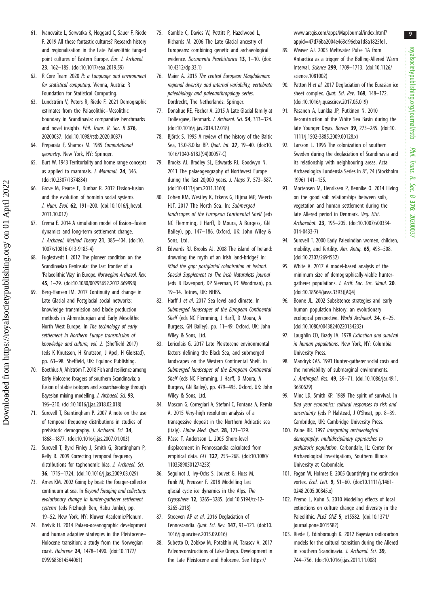- <span id="page-8-0"></span>61. Ivanovaitė L, Serwatka K, Hoggard C, Sauer F, Riede F. 2019 All these fantastic cultures? Research history and regionalization in the Late Palaeolithic tanged point cultures of Eastern Europe. Eur. J. Archaeol. 23, 162–185. ([doi:10.1017/eaa.2019.59\)](http://dx.doi.org/10.1017/eaa.2019.59)
- 62. R Core Team 2020 R: a Language and environment for statistical computing. Vienna, Austria: R Foundation for Statistical Computing.
- 63. Lundström V, Peters R, Riede F. 2021 Demographic estimates from the Palaeolithic–Mesolithic boundary in Scandinavia: comparative benchmarks and novel insights. Phil. Trans. R. Soc. B 376, 20200037. [\(doi:10.1098/rstb.2020.0037](http://dx.doi.org/10.1098/rstb.2020.0037))
- 64. Preparata F, Shamos M. 1985 Computational geometry. New York, NY: Springer.
- 65. Burt W. 1943 Territoriality and home range concepts as applied to mammals. J. Mammal. 24, 346. [\(doi:10.2307/1374834\)](http://dx.doi.org/10.2307/1374834)
- 66. Grove M, Pearce E, Dunbar R. 2012 Fission-fusion and the evolution of hominin social systems. J. Hum. Evol. 62, 191-200. ([doi:10.1016/j.jhevol.](http://dx.doi.org/10.1016/j.jhevol.2011.10.012) [2011.10.012\)](http://dx.doi.org/10.1016/j.jhevol.2011.10.012)
- 67. Crema E. 2014 A simulation model of fission–fusion dynamics and long-term settlement change. J. Archaeol. Method Theory 21, 385-404. [\(doi:10.](http://dx.doi.org/10.1007/s10816-013-9185-4) [1007/s10816-013-9185-4\)](http://dx.doi.org/10.1007/s10816-013-9185-4)
- 68. Fuglestvedt I. 2012 The pioneer condition on the Scandinavian Peninsula: the last frontier of a 'Palaeolithic Way' in Europe. Norwegian Archaeol. Rev. 45, 1–29. [\(doi:10.1080/00293652.2012.669998](http://dx.doi.org/10.1080/00293652.2012.669998))
- 69. Berg-Hansen IM. 2017 Continuity and change in Late Glacial and Postglacial social networks; knowledge transmission and blade production methods in Ahrensburgian and Early Mesolithic North West Europe. In The technology of early settlement in Northern Europe transmission of knowledge and culture, vol. 2. (Sheffield 2017) (eds K Knutsson, H Knutsson, J Apel, H Glørstad), pp. 63–98. Sheffield, UK: Equinox Publishing.
- 70. Boethius A, Ahlström T. 2018 Fish and resilience among Early Holocene foragers of southern Scandinavia: a fusion of stable isotopes and zooarchaeology through Bayesian mixing modelling. J. Archaeol. Sci. 93, 196–210. [\(doi:10.1016/j.jas.2018.02.018](http://dx.doi.org/10.1016/j.jas.2018.02.018))
- 71. Surovell T, Brantingham P. 2007 A note on the use of temporal frequency distributions in studies of prehistoric demography. J. Archaeol. Sci. 34, 1868–1877. [\(doi:10.1016/j.jas.2007.01.003](http://dx.doi.org/10.1016/j.jas.2007.01.003))
- 72. Surovell T, Byrd Finley J, Smith G, Brantingham P, Kelly R. 2009 Correcting temporal frequency distributions for taphonomic bias. J. Archaeol. Sci. 36, 1715–1724. ([doi:10.1016/j.jas.2009.03.029](http://dx.doi.org/10.1016/j.jas.2009.03.029))
- 73. Ames KM. 2002 Going by boat: the forager-collector continuum at sea. In Beyond foraging and collecting: evolutionary change in hunter-gatherer settlement systems (eds Fitzhugh Ben, Habu Junko), pp. 19–52. New York, NY: Kluwer Academic/Plenum.
- 74. Breivik H. 2014 Palaeo-oceanographic development and human adaptive strategies in the Pleistocene– Holocene transition: a study from the Norwegian coast. Holocene 24, 1478–1490. [\(doi:10.1177/](http://dx.doi.org/10.1177/0959683614544061) [0959683614544061](http://dx.doi.org/10.1177/0959683614544061))
- 75. Gamble C, Davies W, Pettitt P, Hazelwood L, Richards M. 2006 The Late Glacial ancestry of Europeans: combining genetic and archaeological evidence. Documenta Praehistorica 13, 1-10. [\(doi:](http://dx.doi.org/10.4312/dp.33.1) [10.4312/dp.33.1\)](http://dx.doi.org/10.4312/dp.33.1)
- 76. Maier A. 2015 The central European Magdalenian: regional diversity and internal variability, vertebrate paleobiology and paleoanthropology series. Dordrecht, The Netherlands: Springer.
- 77. Donahue RE, Fischer A. 2015 A Late Glacial family at Trollesgave, Denmark. J. Archaeol. Sci. 54, 313–324. [\(doi:10.1016/j.jas.2014.12.018\)](http://dx.doi.org/10.1016/j.jas.2014.12.018)
- 78. Björck S. 1995 A review of the history of the Baltic Sea, 13.0-8.0 ka BP. Quat. Int. 27, 19–40. [\(doi:10.](http://dx.doi.org/10.1016/1040-6182(94)00057-C) [1016/1040-6182\(94\)00057-C\)](http://dx.doi.org/10.1016/1040-6182(94)00057-C)
- 79. Brooks AJ, Bradley SL, Edwards RJ, Goodwyn N. 2011 The palaeogeography of Northwest Europe during the last 20,000 years. J. Maps 7, 573–587. [\(doi:10.4113/jom.2011.1160\)](http://dx.doi.org/10.4113/jom.2011.1160)
- 80. Cohen KM, Westley K, Erkens G, Hijma MP, Weerts HJT. 2017 The North Sea. In: Submerged landscapes of the European Continental Shelf (eds NC Flemming, J Harff, D Moura, A Burgess, GN Bailey), pp. 147–186. Oxford, UK: John Wiley & Sons, Ltd.
- 81. Edwards RJ, Brooks AJ. 2008 The island of Ireland: drowning the myth of an Irish land-bridge? In: Mind the gap: postglacial colonisation of Ireland. Special Supplement to The Irish Naturalists journal (eds JJ Davenport, DP Sleeman, PC Woodman), pp. 19–34. Totnes, UK: NHBS.
- 82. Harff J et al. 2017 Sea level and climate. In Submerged landscapes of the European Continental Shelf (eds NC Flemming, J Harff, D Moura, A Burgess, GN Bailey), pp. 11–49. Oxford, UK: John Wiley & Sons, Ltd.
- 83. Lericolais G. 2017 Late Pleistocene environmental factors defining the Black Sea, and submerged landscapes on the Western Continental Shelf. In Submerged landscapes of the European Continental Shelf (eds NC Flemming, J Harff, D Moura, A Burgess, GN Bailey), pp. 479–495. Oxford, UK: John Wiley & Sons, Ltd.
- 84. Moscon G, Corregiari A, Stefani C, Fontana A, Remia A. 2015 Very-high resolution analysis of a transgessive deposit in the Northern Adriactic sea (Italy). Alpine Med. Quat. 28, 121–129.
- 85. Påsse T, Andersson L. 2005 Shore-level displacement in Fennoscandia calculated from empirical data. GFF 127, 253–268. [\(doi:10.1080/](http://dx.doi.org/10.1080/11035890501274253) [11035890501274253](http://dx.doi.org/10.1080/11035890501274253))
- 86. Seguinot J, Ivy-Ochs S, Jouvet G, Huss M, Funk M, Preusser F. 2018 Modelling last glacial cycle ice dynamics in the Alps. The Cryosphere 12, 3265–3285. [\(doi:10.5194/tc-12-](http://dx.doi.org/10.5194/tc-12-3265-2018) [3265-2018](http://dx.doi.org/10.5194/tc-12-3265-2018))
- 87. Stroeven AP et al. 2016 Deglaciation of Fennoscandia. Quat. Sci. Rev. 147, 91–121. [\(doi:10.](http://dx.doi.org/10.1016/j.quascirev.2015.09.016) [1016/j.quascirev.2015.09.016\)](http://dx.doi.org/10.1016/j.quascirev.2015.09.016)
- 88. Subetto D, Zobkov M, Potakhin M, Tarasov A. 2017 Paleoreconstructions of Lake Onego. Development in the Late Pleistocene and Holocene. See [https://](https://www.arcgis.com/apps/MapJournal/index.html?appid=47d76ba2004e463d96eba1d8a1825fe1)

[www.arcgis.com/apps/MapJournal/index.html?](https://www.arcgis.com/apps/MapJournal/index.html?appid=47d76ba2004e463d96eba1d8a1825fe1) [appid=47d76ba2004e463d96eba1d8a1825fe1](https://www.arcgis.com/apps/MapJournal/index.html?appid=47d76ba2004e463d96eba1d8a1825fe1).

- 89. Weaver AJ. 2003 Meltwater Pulse 1A from Antarctica as a trigger of the Bølling-Allerød Warm Interval. Science 299, 1709–1713. ([doi:10.1126/](https://doi.org/10.1126/science.1081002) [science.1081002](https://doi.org/10.1126/science.1081002))
- 90. Patton H et al. 2017 Deglaciation of the Eurasian ice sheet complex. *Quat. Sci. Rev.* **169**, 148-172. ([doi:10.1016/j.quascirev.2017.05.019\)](http://dx.doi.org/10.1016/j.quascirev.2017.05.019)
- 91. Pasanen A, Lunkka JP, Putkinen N. 2010 Reconstruction of the White Sea Basin during the late Younger Dryas. Boreas 39, 273-285. ([doi:10.](http://dx.doi.org/10.1111/j.1502-3885.2009.00128.x) [1111/j.1502-3885.2009.00128.x\)](http://dx.doi.org/10.1111/j.1502-3885.2009.00128.x)
- 92. Larsson L. 1996 The colonization of southern Sweden during the deglaciation of Scandinavia and its relationship with neighbouring areas. Acta Archaeologica Lundensia Series in 8°, 24 (Stockholm 1996) 141–155.
- 93. Mortensen M, Henriksen P, Bennike O. 2014 Living on the good soil: relationships between soils, vegetation and human settlement during the late Allerød period in Denmark. Veg. Hist. Archaeobot. 23, 195–205. [\(doi:10.1007/s00334-](http://dx.doi.org/10.1007/s00334-014-0433-7) [014-0433-7\)](http://dx.doi.org/10.1007/s00334-014-0433-7)
- 94. Surovell T. 2000 Early Paleoindian women, children, mobility, and fertility. Am. Antia. **65**, 493-508. ([doi:10.2307/2694532](http://dx.doi.org/10.2307/2694532))
- 95. White A. 2017 A model-based analysis of the minimum size of demographically-viable huntergatherer populations. J. Artif. Soc. Soc. Simul. 20. ([doi:10.18564/jasss.3393\)](http://dx.doi.org/10.18564/jasss.3393)[AQ4]
- 96. Boone JL. 2002 Subsistence strategies and early human population history: an evolutionary ecological perspective. World Archaeol. 34, 6–25. ([doi:10.1080/00438240220134232\)](http://dx.doi.org/10.1080/00438240220134232)
- 97. Laughlin CD, Brady IA. 1978 Extinction and survival in human populations. New York, NY: Columbia University Press.
- 98. Mandryk CAS. 1993 Hunter-gatherer social costs and the nonviability of submarginal environments. J. Anthropol. Res. 49, 39–71. ([doi:10.1086/jar.49.1.](http://dx.doi.org/10.1086/jar.49.1.3630629) [3630629](http://dx.doi.org/10.1086/jar.49.1.3630629))
- 99. Minc LD, Smith KP. 1989 The spirit of survival. In Bad year economics: cultural responses to risk and uncertainty (eds P Halstead, J O'Shea), pp. 8–39. Cambridge, UK: Cambridge University Press.
- 100. Paine RR. 1997 Integrating archaeological demography: multidisciplinary approaches to prehistoric population. Carbondale, IL: Center for Archaeological Investigations, Southern Illinois University at Carbondale.
- 101. Fagan W, Holmes E. 2005 Quantifying the extinction vortex. Ecol. Lett. 9, 51–60. [\(doi:10.1111/j.1461-](http://dx.doi.org/10.1111/j.1461-0248.2005.00845.x) [0248.2005.00845.x\)](http://dx.doi.org/10.1111/j.1461-0248.2005.00845.x)
- 102. Premo L, Kuhn S. 2010 Modeling effects of local extinctions on culture change and diversity in the Paleolithic. PLoS ONE 5, e15582. ([doi:10.1371/](http://dx.doi.org/10.1371/journal.pone.0015582) [journal.pone.0015582\)](http://dx.doi.org/10.1371/journal.pone.0015582)
- 103. Riede F, Edinborough K. 2012 Bayesian radiocarbon models for the cultural transition during the Allerød in southern Scandinavia. J. Archaeol. Sci. 39, 744–756. [\(doi:10.1016/j.jas.2011.11.008](http://dx.doi.org/10.1016/j.jas.2011.11.008))